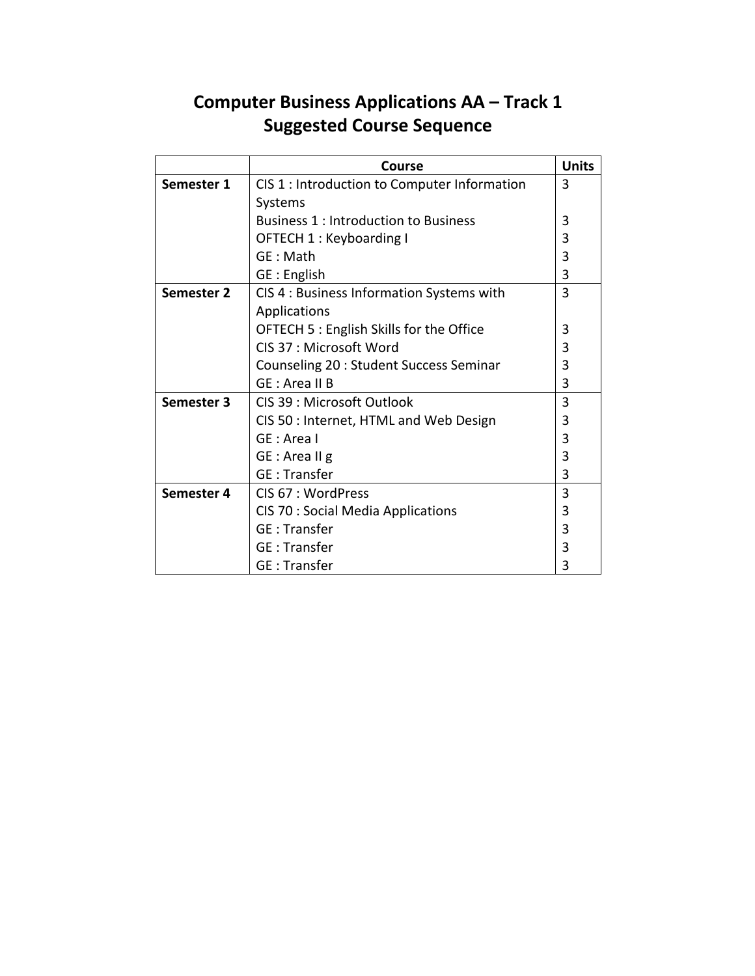## **Computer Business Applications AA – Track 1 Suggested Course Sequence**

|                   | Course                                       | <b>Units</b> |
|-------------------|----------------------------------------------|--------------|
| Semester 1        | CIS 1 : Introduction to Computer Information | 3            |
|                   | Systems                                      |              |
|                   | <b>Business 1: Introduction to Business</b>  | 3            |
|                   | OFTECH 1 : Keyboarding I                     | 3            |
|                   | GE: Math                                     | 3            |
|                   | GE : English                                 | 3            |
| <b>Semester 2</b> | CIS 4 : Business Information Systems with    | 3            |
|                   | Applications                                 |              |
|                   | OFTECH 5 : English Skills for the Office     | 3            |
|                   | CIS 37 : Microsoft Word                      | 3            |
|                   | Counseling 20 : Student Success Seminar      | 3            |
|                   | GE: Area II B                                | 3            |
| Semester 3        | CIS 39 : Microsoft Outlook                   | 3            |
|                   | CIS 50 : Internet, HTML and Web Design       | 3            |
|                   | GE: Area I                                   | 3            |
|                   | GE : Area II g                               | 3            |
|                   | <b>GE</b> : Transfer                         | 3            |
| Semester 4        | CIS 67 : WordPress                           | 3            |
|                   | <b>CIS 70 : Social Media Applications</b>    | 3            |
|                   | <b>GE</b> : Transfer                         | 3            |
|                   | <b>GE: Transfer</b>                          | 3            |
|                   | GE:Transfer                                  | 3            |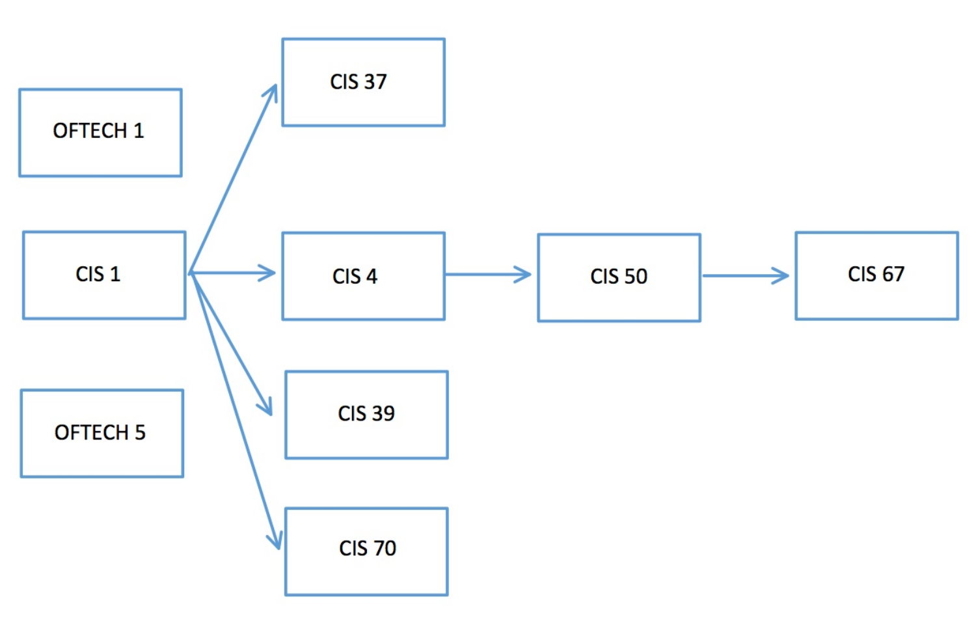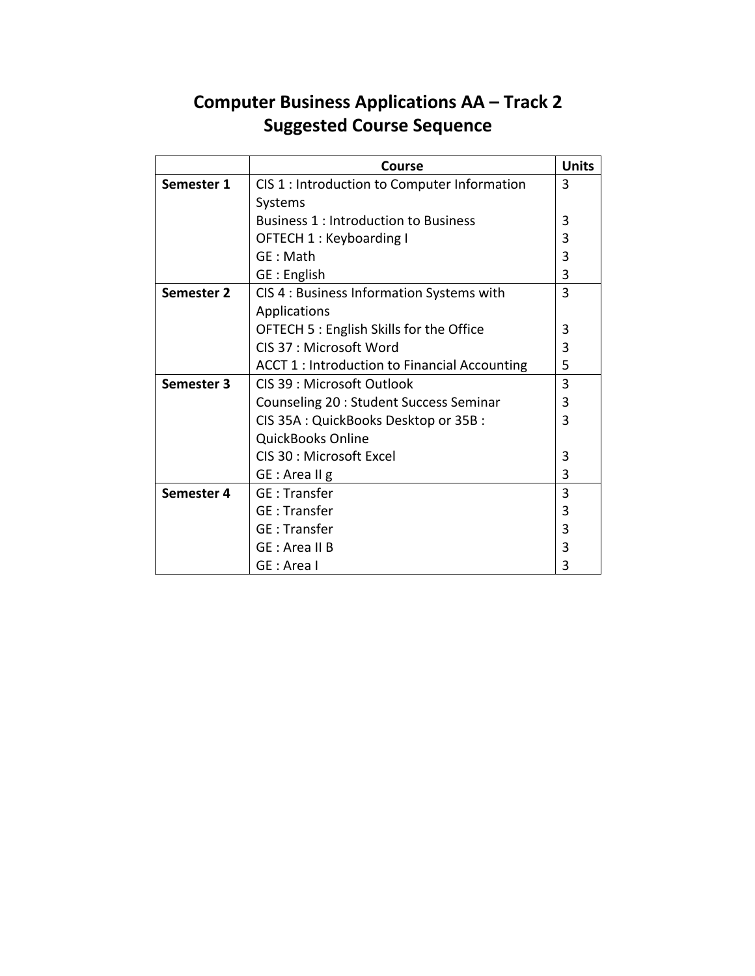## **Computer Business Applications AA – Track 2 Suggested Course Sequence**

|            | Course                                        | <b>Units</b>   |
|------------|-----------------------------------------------|----------------|
| Semester 1 | CIS 1 : Introduction to Computer Information  | $\overline{3}$ |
|            | Systems                                       |                |
|            | <b>Business 1: Introduction to Business</b>   | 3              |
|            | OFTECH 1 : Keyboarding I                      | 3              |
|            | GE: Math                                      | 3              |
|            | GE : English                                  | 3              |
| Semester 2 | CIS 4 : Business Information Systems with     | 3              |
|            | Applications                                  |                |
|            | OFTECH 5 : English Skills for the Office      | 3              |
|            | CIS 37 : Microsoft Word                       | 3              |
|            | ACCT 1 : Introduction to Financial Accounting | 5              |
| Semester 3 | CIS 39 : Microsoft Outlook                    | 3              |
|            | Counseling 20 : Student Success Seminar       | 3              |
|            | CIS 35A: QuickBooks Desktop or 35B:           | 3              |
|            | <b>QuickBooks Online</b>                      |                |
|            | CIS 30 : Microsoft Excel                      | 3              |
|            | GE : Area II g                                | 3              |
| Semester 4 | <b>GE</b> : Transfer                          | 3              |
|            | <b>GE: Transfer</b>                           | 3              |
|            | <b>GE: Transfer</b>                           | 3              |
|            | GE : Area II B                                | 3              |
|            | GE : Area I                                   | 3              |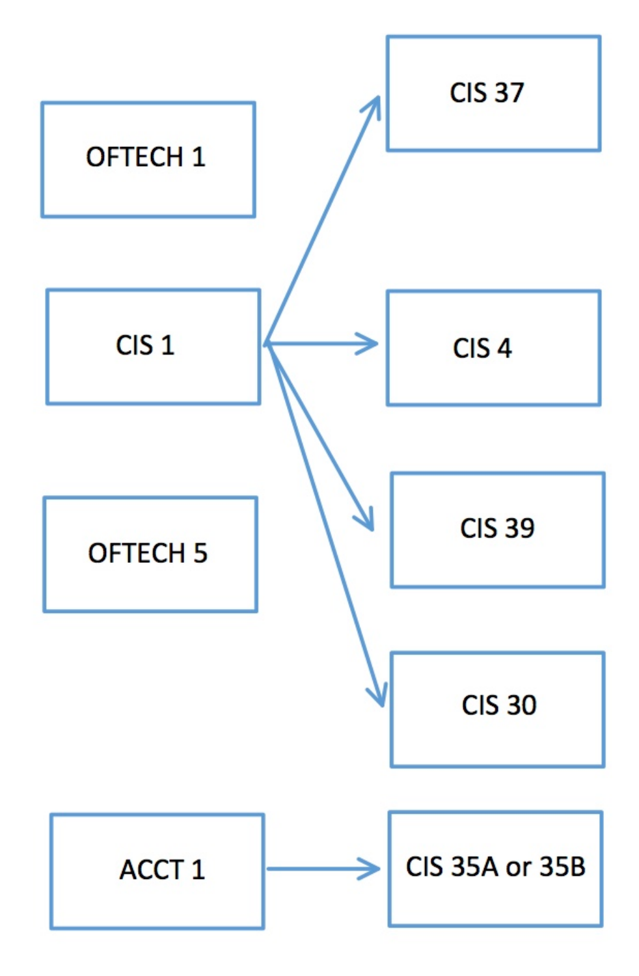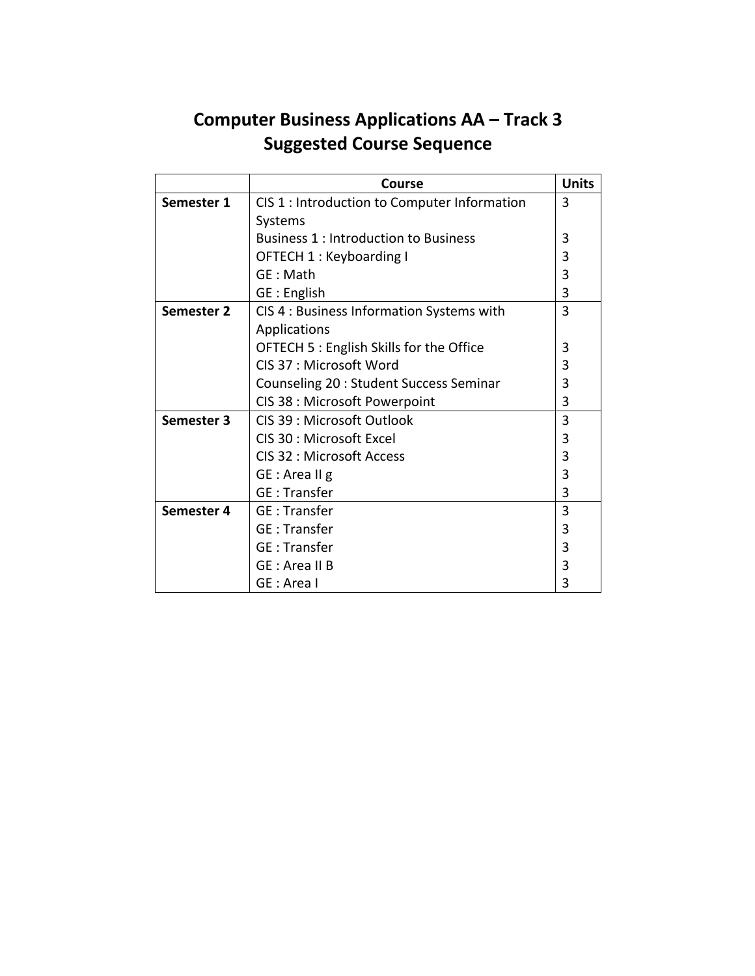## **Computer Business Applications AA – Track 3 Suggested Course Sequence**

|            | Course                                       | <b>Units</b> |
|------------|----------------------------------------------|--------------|
| Semester 1 | CIS 1 : Introduction to Computer Information | 3            |
|            | Systems                                      |              |
|            | <b>Business 1: Introduction to Business</b>  | 3            |
|            | OFTECH 1: Keyboarding I                      | 3            |
|            | GE: Math                                     | 3            |
|            | GE : English                                 | 3            |
| Semester 2 | CIS 4 : Business Information Systems with    | 3            |
|            | Applications                                 |              |
|            | OFTECH 5 : English Skills for the Office     | 3            |
|            | CIS 37 : Microsoft Word                      | 3            |
|            | Counseling 20 : Student Success Seminar      | 3            |
|            | CIS 38 : Microsoft Powerpoint                | 3            |
| Semester 3 | CIS 39 : Microsoft Outlook                   | 3            |
|            | CIS 30 : Microsoft Excel                     | 3            |
|            | CIS 32 : Microsoft Access                    | 3            |
|            | GE : Area II g                               | 3            |
|            | <b>GE</b> : Transfer                         | 3            |
| Semester 4 | <b>GE</b> : Transfer                         | 3            |
|            | <b>GE: Transfer</b>                          | 3            |
|            | <b>GE</b> : Transfer                         | 3            |
|            | GE : Area II B                               | 3            |
|            | GE : Area I                                  | 3            |